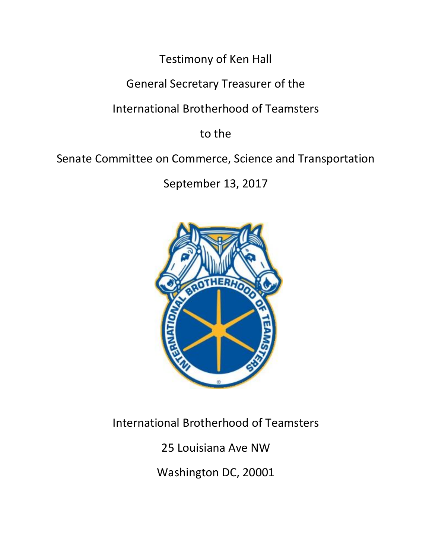Testimony of Ken Hall

General Secretary Treasurer of the

International Brotherhood of Teamsters

to the

Senate Committee on Commerce, Science and Transportation

September 13, 2017



International Brotherhood of Teamsters

25 Louisiana Ave NW

Washington DC, 20001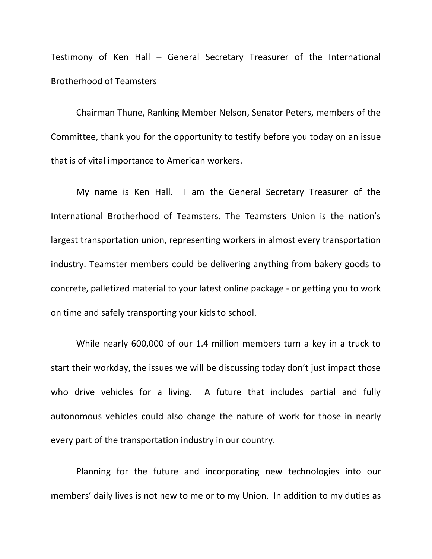Testimony of Ken Hall – General Secretary Treasurer of the International Brotherhood of Teamsters

Chairman Thune, Ranking Member Nelson, Senator Peters, members of the Committee, thank you for the opportunity to testify before you today on an issue that is of vital importance to American workers.

My name is Ken Hall. I am the General Secretary Treasurer of the International Brotherhood of Teamsters. The Teamsters Union is the nation's largest transportation union, representing workers in almost every transportation industry. Teamster members could be delivering anything from bakery goods to concrete, palletized material to your latest online package - or getting you to work on time and safely transporting your kids to school.

While nearly 600,000 of our 1.4 million members turn a key in a truck to start their workday, the issues we will be discussing today don't just impact those who drive vehicles for a living. A future that includes partial and fully autonomous vehicles could also change the nature of work for those in nearly every part of the transportation industry in our country.

Planning for the future and incorporating new technologies into our members' daily lives is not new to me or to my Union. In addition to my duties as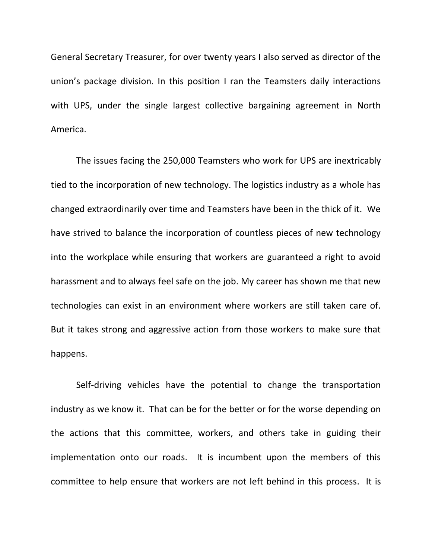General Secretary Treasurer, for over twenty years I also served as director of the union's package division. In this position I ran the Teamsters daily interactions with UPS, under the single largest collective bargaining agreement in North America.

The issues facing the 250,000 Teamsters who work for UPS are inextricably tied to the incorporation of new technology. The logistics industry as a whole has changed extraordinarily over time and Teamsters have been in the thick of it. We have strived to balance the incorporation of countless pieces of new technology into the workplace while ensuring that workers are guaranteed a right to avoid harassment and to always feel safe on the job. My career has shown me that new technologies can exist in an environment where workers are still taken care of. But it takes strong and aggressive action from those workers to make sure that happens.

Self-driving vehicles have the potential to change the transportation industry as we know it. That can be for the better or for the worse depending on the actions that this committee, workers, and others take in guiding their implementation onto our roads. It is incumbent upon the members of this committee to help ensure that workers are not left behind in this process. It is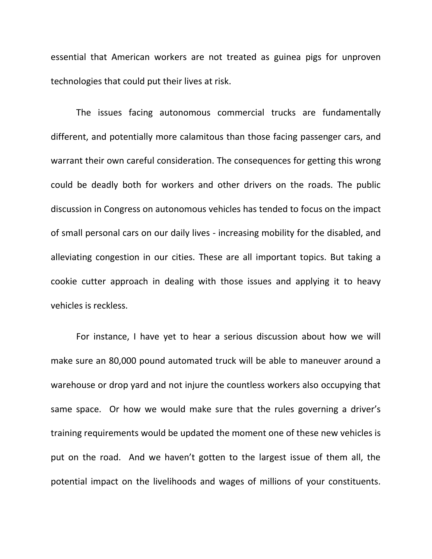essential that American workers are not treated as guinea pigs for unproven technologies that could put their lives at risk.

The issues facing autonomous commercial trucks are fundamentally different, and potentially more calamitous than those facing passenger cars, and warrant their own careful consideration. The consequences for getting this wrong could be deadly both for workers and other drivers on the roads. The public discussion in Congress on autonomous vehicles has tended to focus on the impact of small personal cars on our daily lives - increasing mobility for the disabled, and alleviating congestion in our cities. These are all important topics. But taking a cookie cutter approach in dealing with those issues and applying it to heavy vehicles is reckless.

For instance, I have yet to hear a serious discussion about how we will make sure an 80,000 pound automated truck will be able to maneuver around a warehouse or drop yard and not injure the countless workers also occupying that same space. Or how we would make sure that the rules governing a driver's training requirements would be updated the moment one of these new vehicles is put on the road. And we haven't gotten to the largest issue of them all, the potential impact on the livelihoods and wages of millions of your constituents.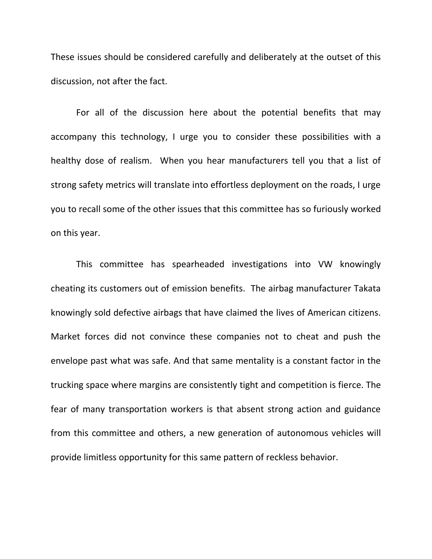These issues should be considered carefully and deliberately at the outset of this discussion, not after the fact.

For all of the discussion here about the potential benefits that may accompany this technology, I urge you to consider these possibilities with a healthy dose of realism. When you hear manufacturers tell you that a list of strong safety metrics will translate into effortless deployment on the roads, I urge you to recall some of the other issues that this committee has so furiously worked on this year.

This committee has spearheaded investigations into VW knowingly cheating its customers out of emission benefits. The airbag manufacturer Takata knowingly sold defective airbags that have claimed the lives of American citizens. Market forces did not convince these companies not to cheat and push the envelope past what was safe. And that same mentality is a constant factor in the trucking space where margins are consistently tight and competition is fierce. The fear of many transportation workers is that absent strong action and guidance from this committee and others, a new generation of autonomous vehicles will provide limitless opportunity for this same pattern of reckless behavior.